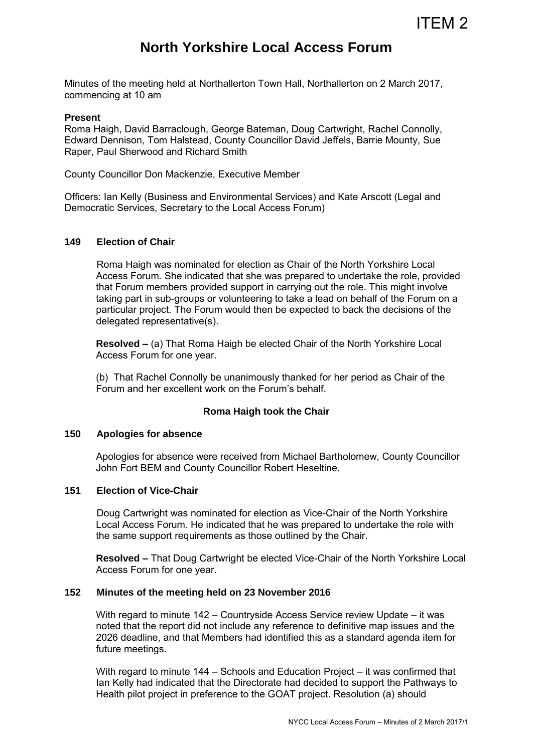# **North Yorkshire Local Access Forum**

Minutes of the meeting held at Northallerton Town Hall, Northallerton on 2 March 2017, commencing at 10 am

#### **Present**

Roma Haigh, David Barraclough, George Bateman, Doug Cartwright, Rachel Connolly, Edward Dennison, Tom Halstead, County Councillor David Jeffels, Barrie Mounty, Sue Raper, Paul Sherwood and Richard Smith

County Councillor Don Mackenzie, Executive Member

Officers: Ian Kelly (Business and Environmental Services) and Kate Arscott (Legal and Democratic Services, Secretary to the Local Access Forum)

## **149 Election of Chair**

Roma Haigh was nominated for election as Chair of the North Yorkshire Local Access Forum. She indicated that she was prepared to undertake the role, provided that Forum members provided support in carrying out the role. This might involve taking part in sub-groups or volunteering to take a lead on behalf of the Forum on a particular project. The Forum would then be expected to back the decisions of the delegated representative(s).

 **Resolved –** (a) That Roma Haigh be elected Chair of the North Yorkshire Local Access Forum for one year.

 (b) That Rachel Connolly be unanimously thanked for her period as Chair of the Forum and her excellent work on the Forum's behalf.

## **Roma Haigh took the Chair**

#### **150 Apologies for absence**

Apologies for absence were received from Michael Bartholomew, County Councillor John Fort BEM and County Councillor Robert Heseltine.

#### **151 Election of Vice-Chair**

 Doug Cartwright was nominated for election as Vice-Chair of the North Yorkshire Local Access Forum. He indicated that he was prepared to undertake the role with the same support requirements as those outlined by the Chair.

 **Resolved –** That Doug Cartwright be elected Vice-Chair of the North Yorkshire Local Access Forum for one year.

# **152 Minutes of the meeting held on 23 November 2016**

 With regard to minute 142 – Countryside Access Service review Update – it was noted that the report did not include any reference to definitive map issues and the 2026 deadline, and that Members had identified this as a standard agenda item for future meetings.

 With regard to minute 144 – Schools and Education Project – it was confirmed that Ian Kelly had indicated that the Directorate had decided to support the Pathways to Health pilot project in preference to the GOAT project. Resolution (a) should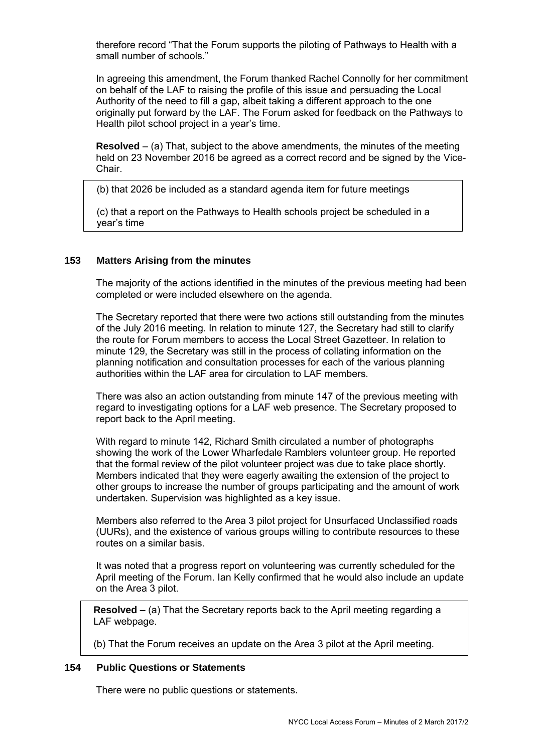therefore record "That the Forum supports the piloting of Pathways to Health with a small number of schools."

 In agreeing this amendment, the Forum thanked Rachel Connolly for her commitment on behalf of the LAF to raising the profile of this issue and persuading the Local Authority of the need to fill a gap, albeit taking a different approach to the one originally put forward by the LAF. The Forum asked for feedback on the Pathways to Health pilot school project in a year's time.

**Resolved** – (a) That, subject to the above amendments, the minutes of the meeting held on 23 November 2016 be agreed as a correct record and be signed by the Vice-Chair.

(b) that 2026 be included as a standard agenda item for future meetings

(c) that a report on the Pathways to Health schools project be scheduled in a year's time

# **153 Matters Arising from the minutes**

 The majority of the actions identified in the minutes of the previous meeting had been completed or were included elsewhere on the agenda.

The Secretary reported that there were two actions still outstanding from the minutes of the July 2016 meeting. In relation to minute 127, the Secretary had still to clarify the route for Forum members to access the Local Street Gazetteer. In relation to minute 129, the Secretary was still in the process of collating information on the planning notification and consultation processes for each of the various planning authorities within the LAF area for circulation to LAF members.

There was also an action outstanding from minute 147 of the previous meeting with regard to investigating options for a LAF web presence. The Secretary proposed to report back to the April meeting.

With regard to minute 142, Richard Smith circulated a number of photographs showing the work of the Lower Wharfedale Ramblers volunteer group. He reported that the formal review of the pilot volunteer project was due to take place shortly. Members indicated that they were eagerly awaiting the extension of the project to other groups to increase the number of groups participating and the amount of work undertaken. Supervision was highlighted as a key issue.

Members also referred to the Area 3 pilot project for Unsurfaced Unclassified roads (UURs), and the existence of various groups willing to contribute resources to these routes on a similar basis.

It was noted that a progress report on volunteering was currently scheduled for the April meeting of the Forum. Ian Kelly confirmed that he would also include an update on the Area 3 pilot.

**Resolved –** (a) That the Secretary reports back to the April meeting regarding a LAF webpage.

(b) That the Forum receives an update on the Area 3 pilot at the April meeting.

## **154 Public Questions or Statements**

There were no public questions or statements.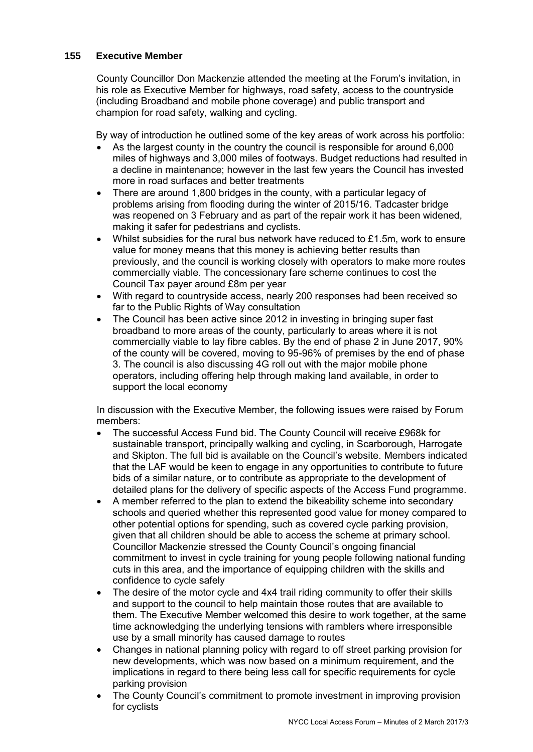# **155 Executive Member**

 County Councillor Don Mackenzie attended the meeting at the Forum's invitation, in his role as Executive Member for highways, road safety, access to the countryside (including Broadband and mobile phone coverage) and public transport and champion for road safety, walking and cycling.

By way of introduction he outlined some of the key areas of work across his portfolio:

- As the largest county in the country the council is responsible for around 6,000 miles of highways and 3,000 miles of footways. Budget reductions had resulted in a decline in maintenance; however in the last few years the Council has invested more in road surfaces and better treatments
- There are around 1,800 bridges in the county, with a particular legacy of problems arising from flooding during the winter of 2015/16. Tadcaster bridge was reopened on 3 February and as part of the repair work it has been widened, making it safer for pedestrians and cyclists.
- Whilst subsidies for the rural bus network have reduced to £1.5m, work to ensure value for money means that this money is achieving better results than previously, and the council is working closely with operators to make more routes commercially viable. The concessionary fare scheme continues to cost the Council Tax payer around £8m per year
- With regard to countryside access, nearly 200 responses had been received so far to the Public Rights of Way consultation
- The Council has been active since 2012 in investing in bringing super fast broadband to more areas of the county, particularly to areas where it is not commercially viable to lay fibre cables. By the end of phase 2 in June 2017, 90% of the county will be covered, moving to 95-96% of premises by the end of phase 3. The council is also discussing 4G roll out with the major mobile phone operators, including offering help through making land available, in order to support the local economy

In discussion with the Executive Member, the following issues were raised by Forum members:

- The successful Access Fund bid. The County Council will receive £968k for sustainable transport, principally walking and cycling, in Scarborough, Harrogate and Skipton. The full bid is available on the Council's website. Members indicated that the LAF would be keen to engage in any opportunities to contribute to future bids of a similar nature, or to contribute as appropriate to the development of detailed plans for the delivery of specific aspects of the Access Fund programme.
- A member referred to the plan to extend the bikeability scheme into secondary schools and queried whether this represented good value for money compared to other potential options for spending, such as covered cycle parking provision, given that all children should be able to access the scheme at primary school. Councillor Mackenzie stressed the County Council's ongoing financial commitment to invest in cycle training for young people following national funding cuts in this area, and the importance of equipping children with the skills and confidence to cycle safely
- The desire of the motor cycle and 4x4 trail riding community to offer their skills and support to the council to help maintain those routes that are available to them. The Executive Member welcomed this desire to work together, at the same time acknowledging the underlying tensions with ramblers where irresponsible use by a small minority has caused damage to routes
- Changes in national planning policy with regard to off street parking provision for new developments, which was now based on a minimum requirement, and the implications in regard to there being less call for specific requirements for cycle parking provision
- The County Council's commitment to promote investment in improving provision for cyclists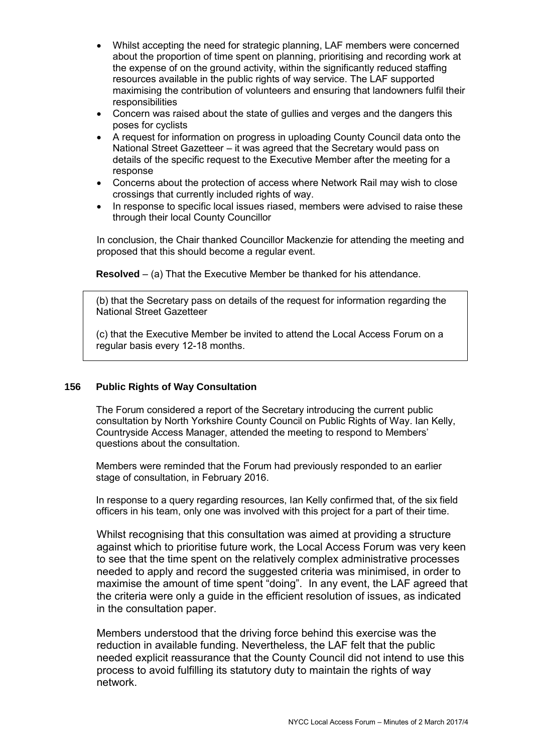- Whilst accepting the need for strategic planning, LAF members were concerned about the proportion of time spent on planning, prioritising and recording work at the expense of on the ground activity, within the significantly reduced staffing resources available in the public rights of way service. The LAF supported maximising the contribution of volunteers and ensuring that landowners fulfil their responsibilities
- Concern was raised about the state of gullies and verges and the dangers this poses for cyclists
- A request for information on progress in uploading County Council data onto the National Street Gazetteer – it was agreed that the Secretary would pass on details of the specific request to the Executive Member after the meeting for a response
- Concerns about the protection of access where Network Rail may wish to close crossings that currently included rights of way.
- In response to specific local issues riased, members were advised to raise these through their local County Councillor

In conclusion, the Chair thanked Councillor Mackenzie for attending the meeting and proposed that this should become a regular event.

**Resolved** – (a) That the Executive Member be thanked for his attendance.

(b) that the Secretary pass on details of the request for information regarding the National Street Gazetteer

(c) that the Executive Member be invited to attend the Local Access Forum on a regular basis every 12-18 months.

# **156 Public Rights of Way Consultation**

The Forum considered a report of the Secretary introducing the current public consultation by North Yorkshire County Council on Public Rights of Way. Ian Kelly, Countryside Access Manager, attended the meeting to respond to Members' questions about the consultation.

Members were reminded that the Forum had previously responded to an earlier stage of consultation, in February 2016.

In response to a query regarding resources, Ian Kelly confirmed that, of the six field officers in his team, only one was involved with this project for a part of their time.

Whilst recognising that this consultation was aimed at providing a structure against which to prioritise future work, the Local Access Forum was very keen to see that the time spent on the relatively complex administrative processes needed to apply and record the suggested criteria was minimised, in order to maximise the amount of time spent "doing". In any event, the LAF agreed that the criteria were only a guide in the efficient resolution of issues, as indicated in the consultation paper.

Members understood that the driving force behind this exercise was the reduction in available funding. Nevertheless, the LAF felt that the public needed explicit reassurance that the County Council did not intend to use this process to avoid fulfilling its statutory duty to maintain the rights of way network.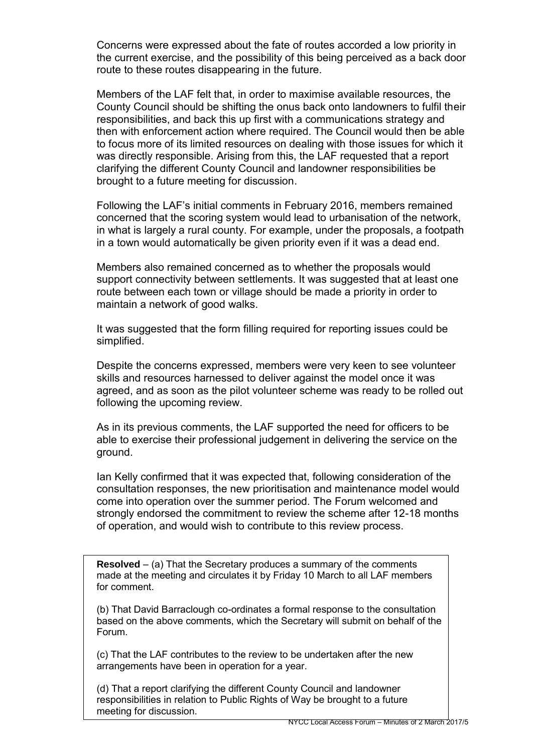Concerns were expressed about the fate of routes accorded a low priority in the current exercise, and the possibility of this being perceived as a back door route to these routes disappearing in the future.

Members of the LAF felt that, in order to maximise available resources, the County Council should be shifting the onus back onto landowners to fulfil their responsibilities, and back this up first with a communications strategy and then with enforcement action where required. The Council would then be able to focus more of its limited resources on dealing with those issues for which it was directly responsible. Arising from this, the LAF requested that a report clarifying the different County Council and landowner responsibilities be brought to a future meeting for discussion.

Following the LAF's initial comments in February 2016, members remained concerned that the scoring system would lead to urbanisation of the network, in what is largely a rural county. For example, under the proposals, a footpath in a town would automatically be given priority even if it was a dead end.

Members also remained concerned as to whether the proposals would support connectivity between settlements. It was suggested that at least one route between each town or village should be made a priority in order to maintain a network of good walks.

It was suggested that the form filling required for reporting issues could be simplified.

Despite the concerns expressed, members were very keen to see volunteer skills and resources harnessed to deliver against the model once it was agreed, and as soon as the pilot volunteer scheme was ready to be rolled out following the upcoming review.

As in its previous comments, the LAF supported the need for officers to be able to exercise their professional judgement in delivering the service on the ground.

Ian Kelly confirmed that it was expected that, following consideration of the consultation responses, the new prioritisation and maintenance model would come into operation over the summer period. The Forum welcomed and strongly endorsed the commitment to review the scheme after 12-18 months of operation, and would wish to contribute to this review process.

**Resolved** – (a) That the Secretary produces a summary of the comments made at the meeting and circulates it by Friday 10 March to all LAF members for comment.

(b) That David Barraclough co-ordinates a formal response to the consultation based on the above comments, which the Secretary will submit on behalf of the Forum.

(c) That the LAF contributes to the review to be undertaken after the new arrangements have been in operation for a year.

(d) That a report clarifying the different County Council and landowner responsibilities in relation to Public Rights of Way be brought to a future meeting for discussion.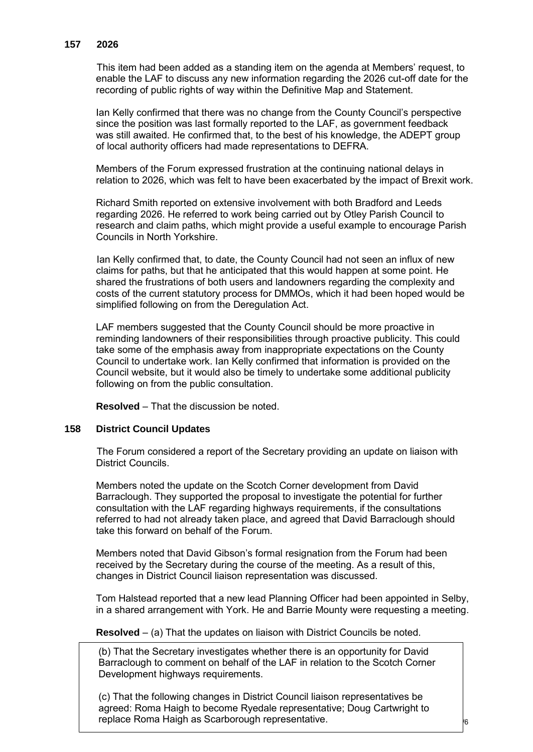## **157 2026**

 This item had been added as a standing item on the agenda at Members' request, to enable the LAF to discuss any new information regarding the 2026 cut-off date for the recording of public rights of way within the Definitive Map and Statement.

Ian Kelly confirmed that there was no change from the County Council's perspective since the position was last formally reported to the LAF, as government feedback was still awaited. He confirmed that, to the best of his knowledge, the ADEPT group of local authority officers had made representations to DEFRA.

Members of the Forum expressed frustration at the continuing national delays in relation to 2026, which was felt to have been exacerbated by the impact of Brexit work.

Richard Smith reported on extensive involvement with both Bradford and Leeds regarding 2026. He referred to work being carried out by Otley Parish Council to research and claim paths, which might provide a useful example to encourage Parish Councils in North Yorkshire.

 Ian Kelly confirmed that, to date, the County Council had not seen an influx of new claims for paths, but that he anticipated that this would happen at some point. He shared the frustrations of both users and landowners regarding the complexity and costs of the current statutory process for DMMOs, which it had been hoped would be simplified following on from the Deregulation Act.

LAF members suggested that the County Council should be more proactive in reminding landowners of their responsibilities through proactive publicity. This could take some of the emphasis away from inappropriate expectations on the County Council to undertake work. Ian Kelly confirmed that information is provided on the Council website, but it would also be timely to undertake some additional publicity following on from the public consultation.

**Resolved** – That the discussion be noted.

## **158 District Council Updates**

The Forum considered a report of the Secretary providing an update on liaison with District Councils.

Members noted the update on the Scotch Corner development from David Barraclough. They supported the proposal to investigate the potential for further consultation with the LAF regarding highways requirements, if the consultations referred to had not already taken place, and agreed that David Barraclough should take this forward on behalf of the Forum.

Members noted that David Gibson's formal resignation from the Forum had been received by the Secretary during the course of the meeting. As a result of this, changes in District Council liaison representation was discussed.

Tom Halstead reported that a new lead Planning Officer had been appointed in Selby, in a shared arrangement with York. He and Barrie Mounty were requesting a meeting.

**Resolved** – (a) That the updates on liaison with District Councils be noted.

(b) That the Secretary investigates whether there is an opportunity for David Barraclough to comment on behalf of the LAF in relation to the Scotch Corner Development highways requirements.

replace Roma Haigh as Scarborough representative.  $\overline{\phantom{a}}_6$ (c) That the following changes in District Council liaison representatives be agreed: Roma Haigh to become Ryedale representative; Doug Cartwright to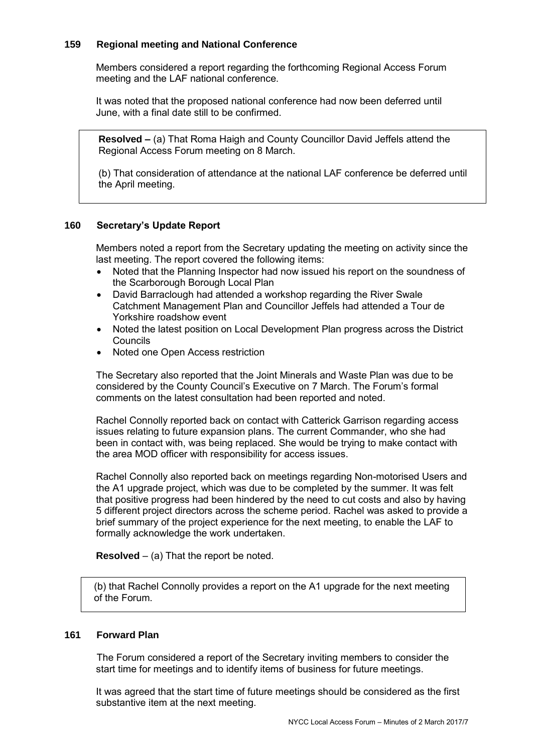# **159 Regional meeting and National Conference**

Members considered a report regarding the forthcoming Regional Access Forum meeting and the LAF national conference.

It was noted that the proposed national conference had now been deferred until June, with a final date still to be confirmed.

**Resolved –** (a) That Roma Haigh and County Councillor David Jeffels attend the Regional Access Forum meeting on 8 March.

(b) That consideration of attendance at the national LAF conference be deferred until the April meeting.

# **160 Secretary's Update Report**

 Members noted a report from the Secretary updating the meeting on activity since the last meeting. The report covered the following items:

- Noted that the Planning Inspector had now issued his report on the soundness of the Scarborough Borough Local Plan
- David Barraclough had attended a workshop regarding the River Swale Catchment Management Plan and Councillor Jeffels had attended a Tour de Yorkshire roadshow event
- Noted the latest position on Local Development Plan progress across the District Councils
- Noted one Open Access restriction

The Secretary also reported that the Joint Minerals and Waste Plan was due to be considered by the County Council's Executive on 7 March. The Forum's formal comments on the latest consultation had been reported and noted.

Rachel Connolly reported back on contact with Catterick Garrison regarding access issues relating to future expansion plans. The current Commander, who she had been in contact with, was being replaced. She would be trying to make contact with the area MOD officer with responsibility for access issues.

Rachel Connolly also reported back on meetings regarding Non-motorised Users and the A1 upgrade project, which was due to be completed by the summer. It was felt that positive progress had been hindered by the need to cut costs and also by having 5 different project directors across the scheme period. Rachel was asked to provide a brief summary of the project experience for the next meeting, to enable the LAF to formally acknowledge the work undertaken.

**Resolved** – (a) That the report be noted.

(b) that Rachel Connolly provides a report on the A1 upgrade for the next meeting of the Forum.

## **161 Forward Plan**

The Forum considered a report of the Secretary inviting members to consider the start time for meetings and to identify items of business for future meetings.

It was agreed that the start time of future meetings should be considered as the first substantive item at the next meeting.